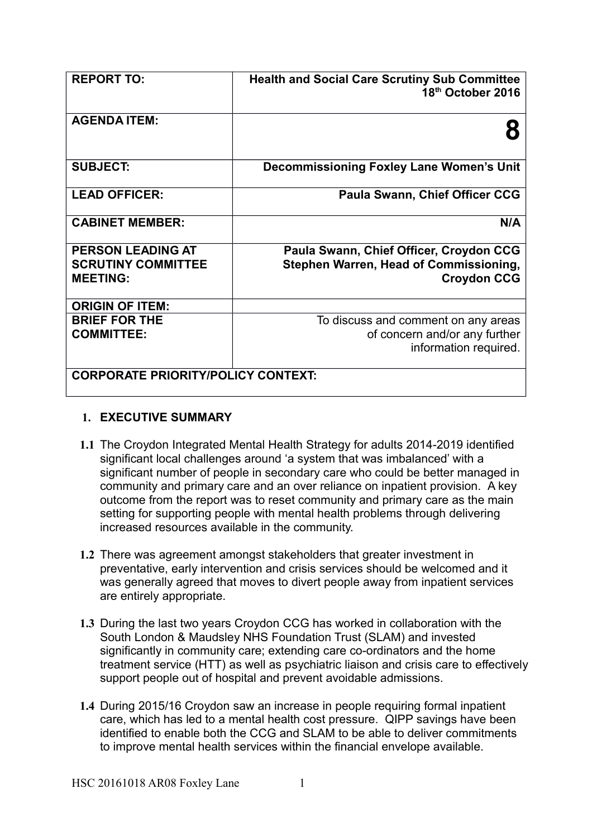| <b>REPORT TO:</b>                                                        | <b>Health and Social Care Scrutiny Sub Committee</b><br>18 <sup>th</sup> October 2016                   |
|--------------------------------------------------------------------------|---------------------------------------------------------------------------------------------------------|
| <b>AGENDA ITEM:</b>                                                      |                                                                                                         |
| <b>SUBJECT:</b>                                                          | <b>Decommissioning Foxley Lane Women's Unit</b>                                                         |
| <b>LEAD OFFICER:</b>                                                     | <b>Paula Swann, Chief Officer CCG</b>                                                                   |
| <b>CABINET MEMBER:</b>                                                   | N/A                                                                                                     |
| <b>PERSON LEADING AT</b><br><b>SCRUTINY COMMITTEE</b><br><b>MEETING:</b> | Paula Swann, Chief Officer, Croydon CCG<br>Stephen Warren, Head of Commissioning,<br><b>Croydon CCG</b> |
| <b>ORIGIN OF ITEM:</b>                                                   |                                                                                                         |
| <b>BRIEF FOR THE</b>                                                     | To discuss and comment on any areas                                                                     |
| <b>COMMITTEE:</b>                                                        | of concern and/or any further<br>information required.                                                  |
| <b>CORPORATE PRIORITY/POLICY CONTEXT:</b>                                |                                                                                                         |

## **1. EXECUTIVE SUMMARY**

- **1.1** The Croydon Integrated Mental Health Strategy for adults 2014-2019 identified significant local challenges around 'a system that was imbalanced' with a significant number of people in secondary care who could be better managed in community and primary care and an over reliance on inpatient provision. A key outcome from the report was to reset community and primary care as the main setting for supporting people with mental health problems through delivering increased resources available in the community.
- **1.2** There was agreement amongst stakeholders that greater investment in preventative, early intervention and crisis services should be welcomed and it was generally agreed that moves to divert people away from inpatient services are entirely appropriate.
- **1.3** During the last two years Croydon CCG has worked in collaboration with the South London & Maudsley NHS Foundation Trust (SLAM) and invested significantly in community care; extending care co-ordinators and the home treatment service (HTT) as well as psychiatric liaison and crisis care to effectively support people out of hospital and prevent avoidable admissions.
- **1.4** During 2015/16 Croydon saw an increase in people requiring formal inpatient care, which has led to a mental health cost pressure. QIPP savings have been identified to enable both the CCG and SLAM to be able to deliver commitments to improve mental health services within the financial envelope available.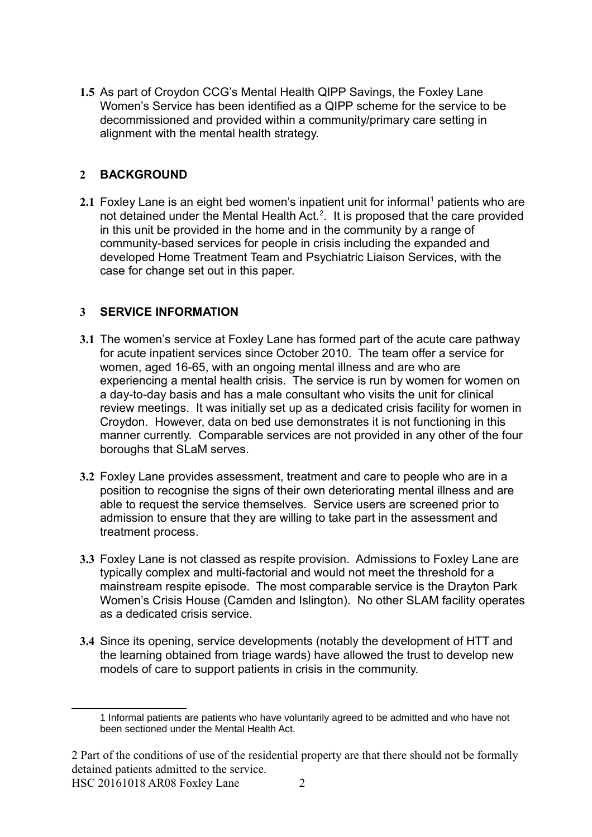**1.5** As part of Croydon CCG's Mental Health QIPP Savings, the Foxley Lane Women's Service has been identified as a QIPP scheme for the service to be decommissioned and provided within a community/primary care setting in alignment with the mental health strategy.

# **2 BACKGROUND**

2.[1](#page-1-0) Foxley Lane is an eight bed women's inpatient unit for informal<sup>1</sup> patients who are not detained under the Mental Health Act.<sup>[2](#page-1-1)</sup>. It is proposed that the care provided in this unit be provided in the home and in the community by a range of community-based services for people in crisis including the expanded and developed Home Treatment Team and Psychiatric Liaison Services, with the case for change set out in this paper.

# **3 SERVICE INFORMATION**

- **3.1** The women's service at Foxley Lane has formed part of the acute care pathway for acute inpatient services since October 2010. The team offer a service for women, aged 16-65, with an ongoing mental illness and are who are experiencing a mental health crisis. The service is run by women for women on a day-to-day basis and has a male consultant who visits the unit for clinical review meetings. It was initially set up as a dedicated crisis facility for women in Croydon. However, data on bed use demonstrates it is not functioning in this manner currently. Comparable services are not provided in any other of the four boroughs that SLaM serves.
- **3.2** Foxley Lane provides assessment, treatment and care to people who are in a position to recognise the signs of their own deteriorating mental illness and are able to request the service themselves. Service users are screened prior to admission to ensure that they are willing to take part in the assessment and treatment process.
- **3.3** Foxley Lane is not classed as respite provision. Admissions to Foxley Lane are typically complex and multi-factorial and would not meet the threshold for a mainstream respite episode. The most comparable service is the Drayton Park Women's Crisis House (Camden and Islington). No other SLAM facility operates as a dedicated crisis service.
- **3.4** Since its opening, service developments (notably the development of HTT and the learning obtained from triage wards) have allowed the trust to develop new models of care to support patients in crisis in the community.

<span id="page-1-0"></span><sup>1</sup> Informal patients are patients who have voluntarily agreed to be admitted and who have not been sectioned under the Mental Health Act.

<span id="page-1-1"></span><sup>2</sup> Part of the conditions of use of the residential property are that there should not be formally detained patients admitted to the service. HSC 20161018 AR08 Foxley Lane 2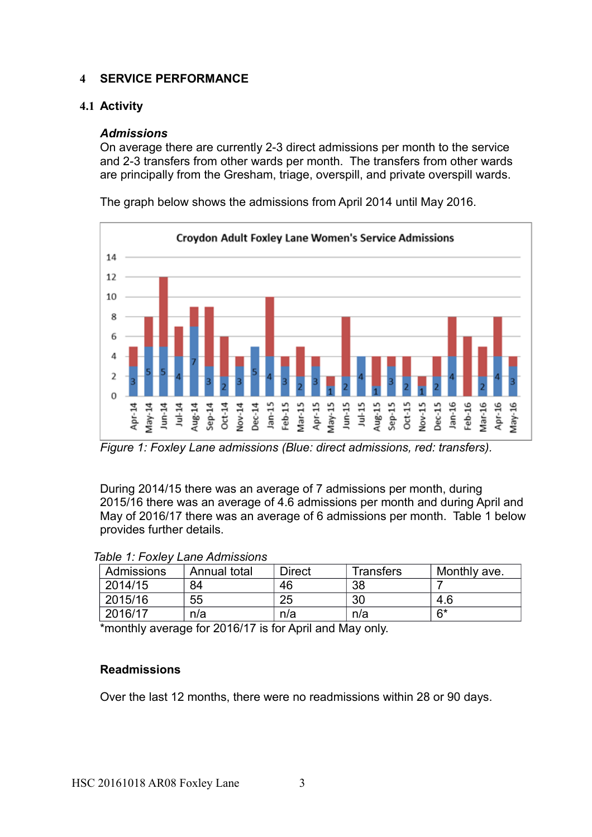# **4 SERVICE PERFORMANCE**

## **4.1 Activity**

## *Admissions*

On average there are currently 2-3 direct admissions per month to the service and 2-3 transfers from other wards per month. The transfers from other wards are principally from the Gresham, triage, overspill, and private overspill wards.

The graph below shows the admissions from April 2014 until May 2016.



*Figure 1: Foxley Lane admissions (Blue: direct admissions, red: transfers).*

During 2014/15 there was an average of 7 admissions per month, during 2015/16 there was an average of 4.6 admissions per month and during April and May of 2016/17 there was an average of 6 admissions per month. Table 1 below provides further details.

| Admissions | Annual total | <b>Direct</b> | Transfers | Monthly ave. |
|------------|--------------|---------------|-----------|--------------|
| 2014/15    | 84           | 46            | 38        |              |
| 2015/16    | 55           | 25            | 30        | 4.6          |
| 2016/17    | n/a          | n/a           | n/a       | $6*$         |

\*monthly average for 2016/17 is for April and May only.

# **Readmissions**

Over the last 12 months, there were no readmissions within 28 or 90 days.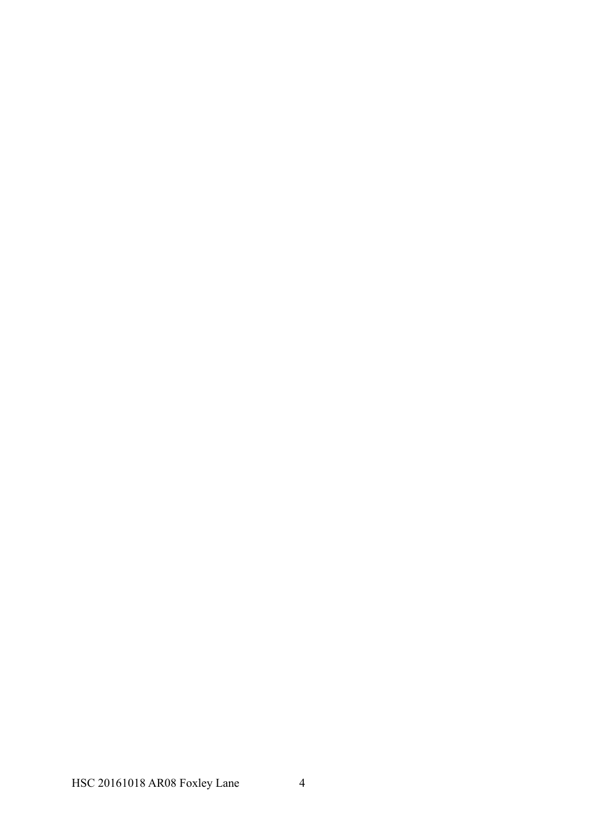HSC 20161018 AR08 Foxley Lane 4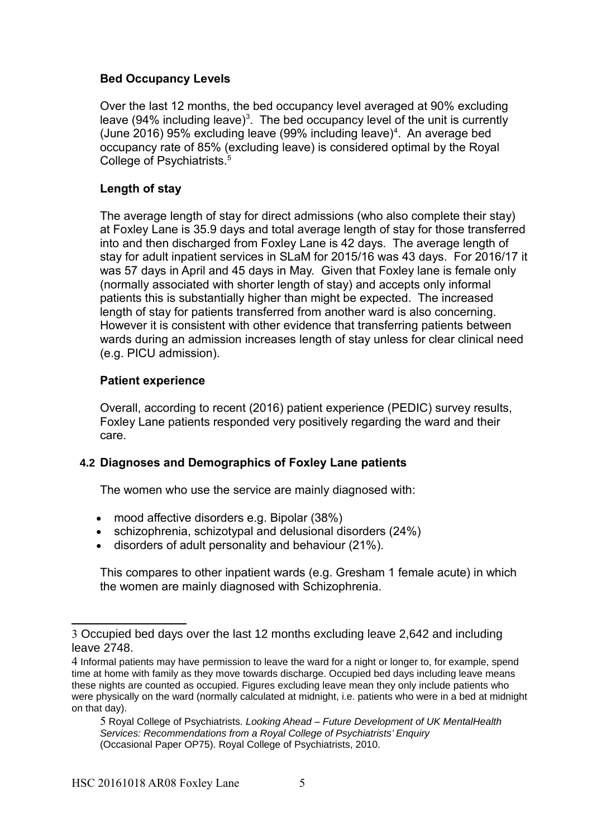## **Bed Occupancy Levels**

Over the last 12 months, the bed occupancy level averaged at 90% excluding leave (94% including leave)<sup>[3](#page-4-0)</sup>. The bed occupancy level of the unit is currently (June 2016) 95% excluding leave (99% including leave)<sup>[4](#page-4-1)</sup>. An average bed occupancy rate of 85% (excluding leave) is considered optimal by the Royal College of Psychiatrists.<sup>[5](#page-4-2)</sup>

# **Length of stay**

The average length of stay for direct admissions (who also complete their stay) at Foxley Lane is 35.9 days and total average length of stay for those transferred into and then discharged from Foxley Lane is 42 days. The average length of stay for adult inpatient services in SLaM for 2015/16 was 43 days. For 2016/17 it was 57 days in April and 45 days in May. Given that Foxley lane is female only (normally associated with shorter length of stay) and accepts only informal patients this is substantially higher than might be expected. The increased length of stay for patients transferred from another ward is also concerning. However it is consistent with other evidence that transferring patients between wards during an admission increases length of stay unless for clear clinical need (e.g. PICU admission).

## **Patient experience**

Overall, according to recent (2016) patient experience (PEDIC) survey results, Foxley Lane patients responded very positively regarding the ward and their care.

# **4.2 Diagnoses and Demographics of Foxley Lane patients**

The women who use the service are mainly diagnosed with:

- mood affective disorders e.g. Bipolar (38%)
- schizophrenia, schizotypal and delusional disorders (24%)
- disorders of adult personality and behaviour (21%).

This compares to other inpatient wards (e.g. Gresham 1 female acute) in which the women are mainly diagnosed with Schizophrenia.

<span id="page-4-0"></span><sup>3</sup> Occupied bed days over the last 12 months excluding leave 2,642 and including leave 2748.

<span id="page-4-1"></span><sup>4</sup> Informal patients may have permission to leave the ward for a night or longer to, for example, spend time at home with family as they move towards discharge. Occupied bed days including leave means these nights are counted as occupied. Figures excluding leave mean they only include patients who were physically on the ward (normally calculated at midnight, i.e. patients who were in a bed at midnight on that day).

<span id="page-4-2"></span><sup>5</sup> Royal College of Psychiatrists. *Looking Ahead – Future Development of UK MentalHealth Services: Recommendations from a Royal College of Psychiatrists' Enquiry* (Occasional Paper OP75). Royal College of Psychiatrists, 2010.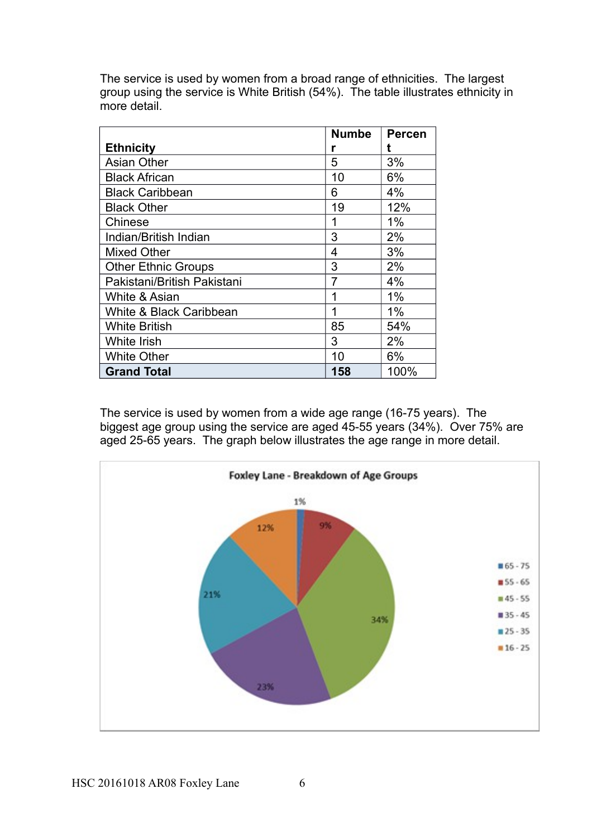The service is used by women from a broad range of ethnicities. The largest group using the service is White British (54%). The table illustrates ethnicity in more detail.

|                             | <b>Numbe</b> | <b>Percen</b> |
|-----------------------------|--------------|---------------|
| <b>Ethnicity</b>            | r            |               |
| <b>Asian Other</b>          | 5            | 3%            |
| <b>Black African</b>        | 10           | 6%            |
| <b>Black Caribbean</b>      | 6            | 4%            |
| <b>Black Other</b>          | 19           | 12%           |
| Chinese                     | 1            | 1%            |
| Indian/British Indian       | 3            | 2%            |
| <b>Mixed Other</b>          | 4            | 3%            |
| <b>Other Ethnic Groups</b>  | 3            | 2%            |
| Pakistani/British Pakistani | 7            | 4%            |
| White & Asian               | 1            | 1%            |
| White & Black Caribbean     | 1            | 1%            |
| <b>White British</b>        | 85           | 54%           |
| White Irish                 | 3            | 2%            |
| <b>White Other</b>          | 10           | 6%            |
| <b>Grand Total</b>          | 158          | 100%          |

The service is used by women from a wide age range (16-75 years). The biggest age group using the service are aged 45-55 years (34%). Over 75% are aged 25-65 years. The graph below illustrates the age range in more detail.

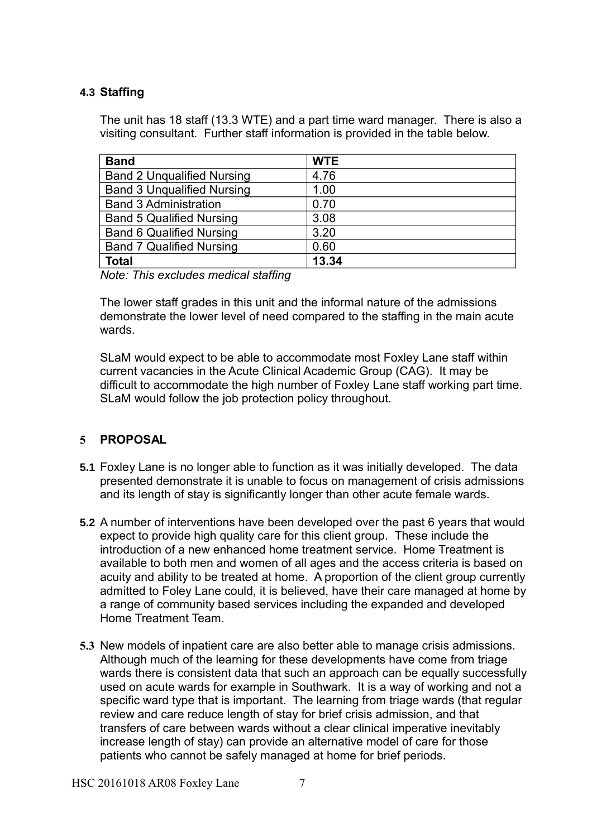# **4.3 Staffing**

The unit has 18 staff (13.3 WTE) and a part time ward manager. There is also a visiting consultant. Further staff information is provided in the table below.

| <b>Band</b>                       | <b>WTE</b> |
|-----------------------------------|------------|
| <b>Band 2 Unqualified Nursing</b> | 4.76       |
| <b>Band 3 Unqualified Nursing</b> | 1.00       |
| <b>Band 3 Administration</b>      | 0.70       |
| <b>Band 5 Qualified Nursing</b>   | 3.08       |
| <b>Band 6 Qualified Nursing</b>   | 3.20       |
| <b>Band 7 Qualified Nursing</b>   | 0.60       |
| <b>Total</b>                      | 13.34      |

*Note: This excludes medical staffing*

The lower staff grades in this unit and the informal nature of the admissions demonstrate the lower level of need compared to the staffing in the main acute wards.

SLaM would expect to be able to accommodate most Foxley Lane staff within current vacancies in the Acute Clinical Academic Group (CAG). It may be difficult to accommodate the high number of Foxley Lane staff working part time. SLaM would follow the job protection policy throughout.

# **5 PROPOSAL**

- **5.1** Foxley Lane is no longer able to function as it was initially developed. The data presented demonstrate it is unable to focus on management of crisis admissions and its length of stay is significantly longer than other acute female wards.
- **5.2** A number of interventions have been developed over the past 6 years that would expect to provide high quality care for this client group. These include the introduction of a new enhanced home treatment service. Home Treatment is available to both men and women of all ages and the access criteria is based on acuity and ability to be treated at home. A proportion of the client group currently admitted to Foley Lane could, it is believed, have their care managed at home by a range of community based services including the expanded and developed Home Treatment Team.
- **5.3** New models of inpatient care are also better able to manage crisis admissions. Although much of the learning for these developments have come from triage wards there is consistent data that such an approach can be equally successfully used on acute wards for example in Southwark. It is a way of working and not a specific ward type that is important. The learning from triage wards (that regular review and care reduce length of stay for brief crisis admission, and that transfers of care between wards without a clear clinical imperative inevitably increase length of stay) can provide an alternative model of care for those patients who cannot be safely managed at home for brief periods.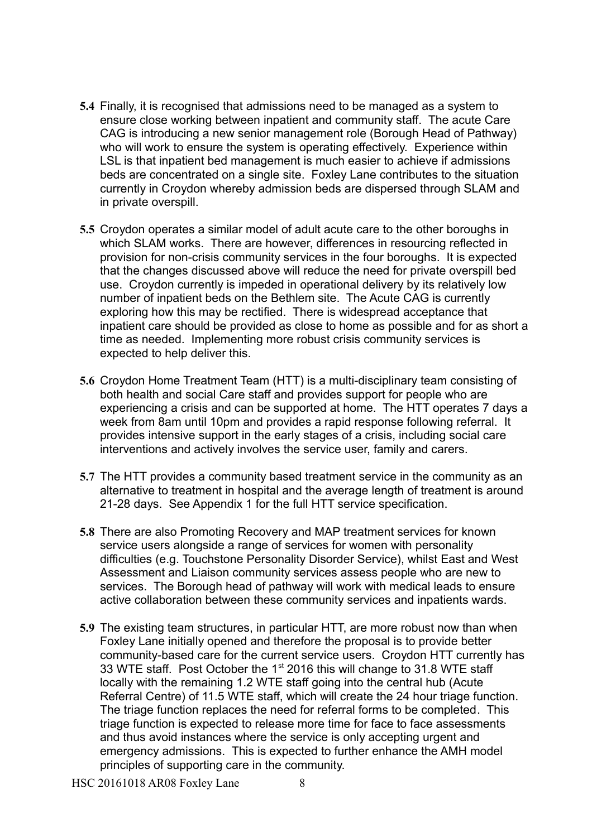- **5.4** Finally, it is recognised that admissions need to be managed as a system to ensure close working between inpatient and community staff. The acute Care CAG is introducing a new senior management role (Borough Head of Pathway) who will work to ensure the system is operating effectively. Experience within LSL is that inpatient bed management is much easier to achieve if admissions beds are concentrated on a single site. Foxley Lane contributes to the situation currently in Croydon whereby admission beds are dispersed through SLAM and in private overspill.
- **5.5** Croydon operates a similar model of adult acute care to the other boroughs in which SLAM works. There are however, differences in resourcing reflected in provision for non-crisis community services in the four boroughs. It is expected that the changes discussed above will reduce the need for private overspill bed use. Croydon currently is impeded in operational delivery by its relatively low number of inpatient beds on the Bethlem site. The Acute CAG is currently exploring how this may be rectified. There is widespread acceptance that inpatient care should be provided as close to home as possible and for as short a time as needed. Implementing more robust crisis community services is expected to help deliver this.
- **5.6** Croydon Home Treatment Team (HTT) is a multi-disciplinary team consisting of both health and social Care staff and provides support for people who are experiencing a crisis and can be supported at home. The HTT operates 7 days a week from 8am until 10pm and provides a rapid response following referral. It provides intensive support in the early stages of a crisis, including social care interventions and actively involves the service user, family and carers.
- **5.7** The HTT provides a community based treatment service in the community as an alternative to treatment in hospital and the average length of treatment is around 21-28 days. See Appendix 1 for the full HTT service specification.
- **5.8** There are also Promoting Recovery and MAP treatment services for known service users alongside a range of services for women with personality difficulties (e.g. Touchstone Personality Disorder Service), whilst East and West Assessment and Liaison community services assess people who are new to services. The Borough head of pathway will work with medical leads to ensure active collaboration between these community services and inpatients wards.
- **5.9** The existing team structures, in particular HTT, are more robust now than when Foxley Lane initially opened and therefore the proposal is to provide better community-based care for the current service users. Croydon HTT currently has 33 WTE staff. Post October the 1<sup>st</sup> 2016 this will change to 31.8 WTE staff locally with the remaining 1.2 WTE staff going into the central hub (Acute Referral Centre) of 11.5 WTE staff, which will create the 24 hour triage function. The triage function replaces the need for referral forms to be completed. This triage function is expected to release more time for face to face assessments and thus avoid instances where the service is only accepting urgent and emergency admissions. This is expected to further enhance the AMH model principles of supporting care in the community.

HSC 20161018 AR08 Foxley Lane 8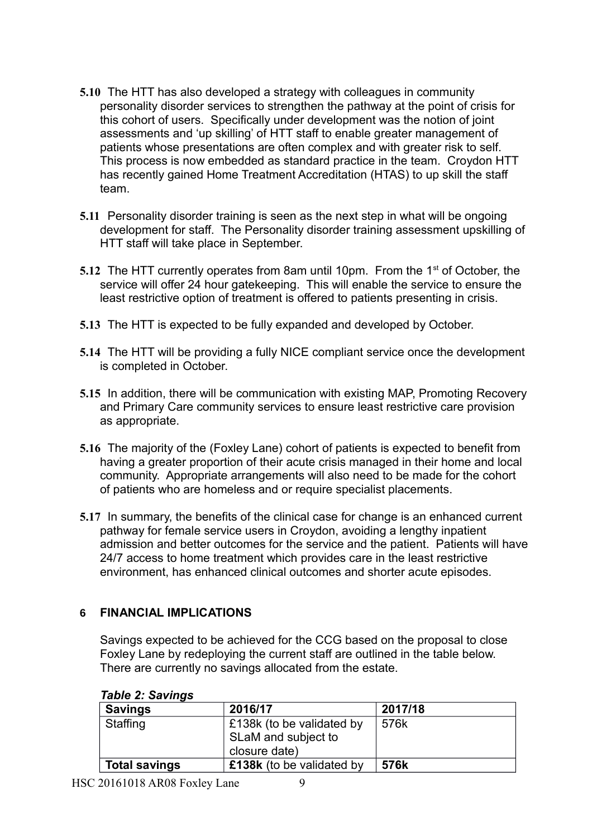- **5.10** The HTT has also developed a strategy with colleagues in community personality disorder services to strengthen the pathway at the point of crisis for this cohort of users. Specifically under development was the notion of joint assessments and 'up skilling' of HTT staff to enable greater management of patients whose presentations are often complex and with greater risk to self. This process is now embedded as standard practice in the team. Croydon HTT has recently gained Home Treatment Accreditation (HTAS) to up skill the staff team.
- **5.11** Personality disorder training is seen as the next step in what will be ongoing development for staff. The Personality disorder training assessment upskilling of HTT staff will take place in September.
- **5.12** The HTT currently operates from 8am until 10pm. From the 1<sup>st</sup> of October, the service will offer 24 hour gatekeeping. This will enable the service to ensure the least restrictive option of treatment is offered to patients presenting in crisis.
- **5.13** The HTT is expected to be fully expanded and developed by October.
- **5.14** The HTT will be providing a fully NICE compliant service once the development is completed in October.
- **5.15** In addition, there will be communication with existing MAP, Promoting Recovery and Primary Care community services to ensure least restrictive care provision as appropriate.
- **5.16** The majority of the (Foxley Lane) cohort of patients is expected to benefit from having a greater proportion of their acute crisis managed in their home and local community. Appropriate arrangements will also need to be made for the cohort of patients who are homeless and or require specialist placements.
- **5.17** In summary, the benefits of the clinical case for change is an enhanced current pathway for female service users in Croydon, avoiding a lengthy inpatient admission and better outcomes for the service and the patient. Patients will have 24/7 access to home treatment which provides care in the least restrictive environment, has enhanced clinical outcomes and shorter acute episodes.

# **6 FINANCIAL IMPLICATIONS**

Savings expected to be achieved for the CCG based on the proposal to close Foxley Lane by redeploying the current staff are outlined in the table below. There are currently no savings allocated from the estate.

| <b>Savings</b>       | 2016/17                                                           | 2017/18 |
|----------------------|-------------------------------------------------------------------|---------|
| Staffing             | £138k (to be validated by<br>SLaM and subject to<br>closure date) | 576k    |
| <b>Total savings</b> | £138k (to be validated by                                         | 576k    |

# *Table 2: Savings*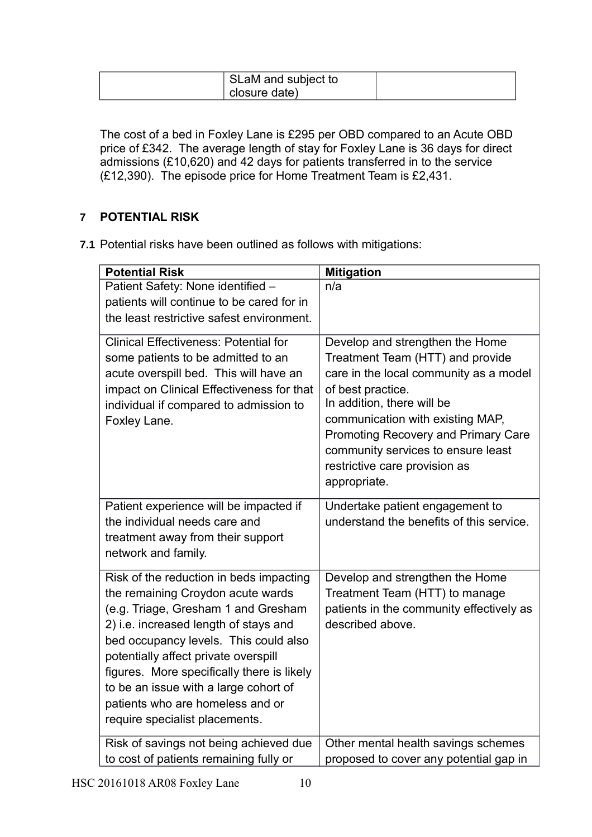| SLaM and subject to |  |
|---------------------|--|
| closure date)       |  |

The cost of a bed in Foxley Lane is £295 per OBD compared to an Acute OBD price of £342. The average length of stay for Foxley Lane is 36 days for direct admissions (£10,620) and 42 days for patients transferred in to the service (£12,390). The episode price for Home Treatment Team is £2,431.

# **7 POTENTIAL RISK**

**7.1** Potential risks have been outlined as follows with mitigations:

| <b>Potential Risk</b>                                                                                                                                                                                                                                                                                                                                                                                      | <b>Mitigation</b>                                                                                                                                                                                                                                                                                                                  |
|------------------------------------------------------------------------------------------------------------------------------------------------------------------------------------------------------------------------------------------------------------------------------------------------------------------------------------------------------------------------------------------------------------|------------------------------------------------------------------------------------------------------------------------------------------------------------------------------------------------------------------------------------------------------------------------------------------------------------------------------------|
| Patient Safety: None identified -                                                                                                                                                                                                                                                                                                                                                                          | n/a                                                                                                                                                                                                                                                                                                                                |
| patients will continue to be cared for in                                                                                                                                                                                                                                                                                                                                                                  |                                                                                                                                                                                                                                                                                                                                    |
| the least restrictive safest environment.                                                                                                                                                                                                                                                                                                                                                                  |                                                                                                                                                                                                                                                                                                                                    |
| <b>Clinical Effectiveness: Potential for</b><br>some patients to be admitted to an<br>acute overspill bed. This will have an<br>impact on Clinical Effectiveness for that<br>individual if compared to admission to<br>Foxley Lane.                                                                                                                                                                        | Develop and strengthen the Home<br>Treatment Team (HTT) and provide<br>care in the local community as a model<br>of best practice.<br>In addition, there will be<br>communication with existing MAP,<br>Promoting Recovery and Primary Care<br>community services to ensure least<br>restrictive care provision as<br>appropriate. |
| Patient experience will be impacted if<br>the individual needs care and<br>treatment away from their support<br>network and family.                                                                                                                                                                                                                                                                        | Undertake patient engagement to<br>understand the benefits of this service.                                                                                                                                                                                                                                                        |
| Risk of the reduction in beds impacting<br>the remaining Croydon acute wards<br>(e.g. Triage, Gresham 1 and Gresham<br>2) i.e. increased length of stays and<br>bed occupancy levels. This could also<br>potentially affect private overspill<br>figures. More specifically there is likely<br>to be an issue with a large cohort of<br>patients who are homeless and or<br>require specialist placements. | Develop and strengthen the Home<br>Treatment Team (HTT) to manage<br>patients in the community effectively as<br>described above.                                                                                                                                                                                                  |
| Risk of savings not being achieved due<br>to cost of patients remaining fully or                                                                                                                                                                                                                                                                                                                           | Other mental health savings schemes<br>proposed to cover any potential gap in                                                                                                                                                                                                                                                      |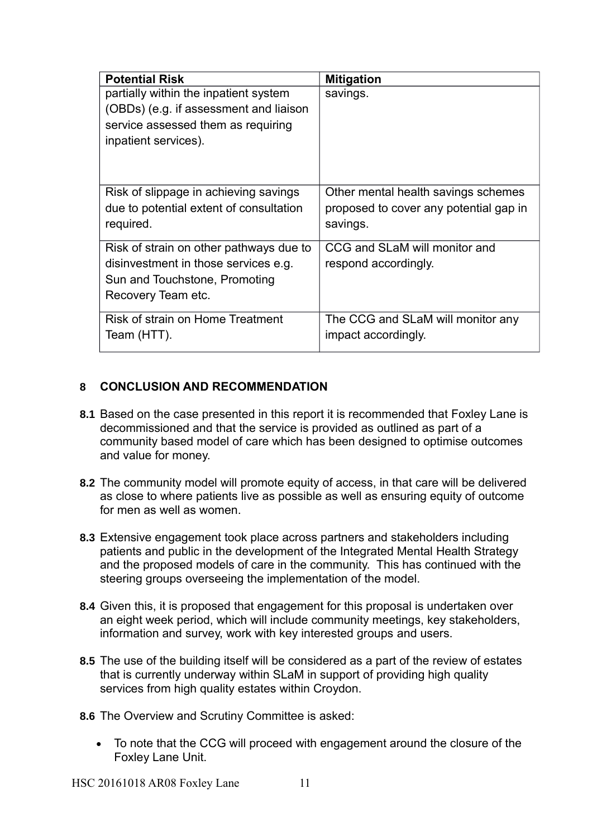| <b>Potential Risk</b>                                                                                                                         | <b>Mitigation</b>                                                                         |
|-----------------------------------------------------------------------------------------------------------------------------------------------|-------------------------------------------------------------------------------------------|
| partially within the inpatient system<br>(OBDs) (e.g. if assessment and liaison<br>service assessed them as requiring<br>inpatient services). | savings.                                                                                  |
| Risk of slippage in achieving savings<br>due to potential extent of consultation<br>required.                                                 | Other mental health savings schemes<br>proposed to cover any potential gap in<br>savings. |
| Risk of strain on other pathways due to<br>disinvestment in those services e.g.<br>Sun and Touchstone, Promoting<br>Recovery Team etc.        | CCG and SLaM will monitor and<br>respond accordingly.                                     |
| Risk of strain on Home Treatment<br>Team (HTT).                                                                                               | The CCG and SLaM will monitor any<br>impact accordingly.                                  |

# **8 CONCLUSION AND RECOMMENDATION**

- **8.1** Based on the case presented in this report it is recommended that Foxley Lane is decommissioned and that the service is provided as outlined as part of a community based model of care which has been designed to optimise outcomes and value for money.
- **8.2** The community model will promote equity of access, in that care will be delivered as close to where patients live as possible as well as ensuring equity of outcome for men as well as women.
- **8.3** Extensive engagement took place across partners and stakeholders including patients and public in the development of the Integrated Mental Health Strategy and the proposed models of care in the community. This has continued with the steering groups overseeing the implementation of the model.
- **8.4** Given this, it is proposed that engagement for this proposal is undertaken over an eight week period, which will include community meetings, key stakeholders, information and survey, work with key interested groups and users.
- **8.5** The use of the building itself will be considered as a part of the review of estates that is currently underway within SLaM in support of providing high quality services from high quality estates within Croydon.
- **8.6** The Overview and Scrutiny Committee is asked:
	- To note that the CCG will proceed with engagement around the closure of the Foxley Lane Unit.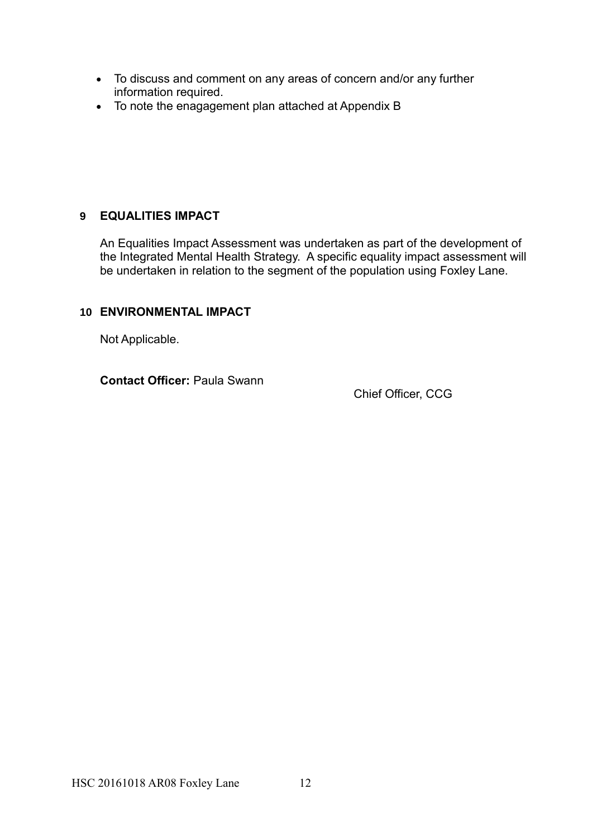- To discuss and comment on any areas of concern and/or any further information required.
- To note the enagagement plan attached at Appendix B

# **9 EQUALITIES IMPACT**

An Equalities Impact Assessment was undertaken as part of the development of the Integrated Mental Health Strategy. A specific equality impact assessment will be undertaken in relation to the segment of the population using Foxley Lane.

## **10 ENVIRONMENTAL IMPACT**

Not Applicable.

**Contact Officer:** Paula Swann

Chief Officer, CCG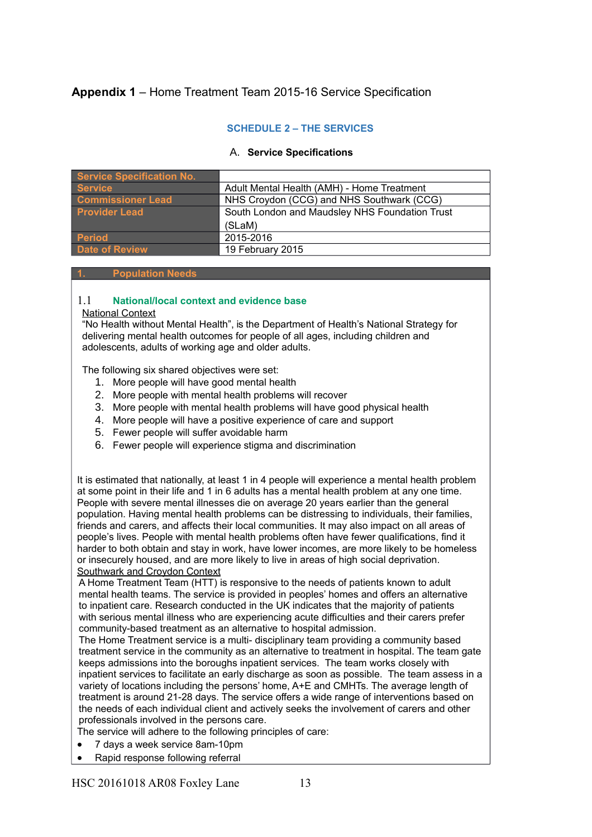# **Appendix 1** – Home Treatment Team 2015-16 Service Specification

## **SCHEDULE 2 – THE SERVICES**

#### A. **Service Specifications**

| Service Specification No. |                                                |
|---------------------------|------------------------------------------------|
| <b>Service</b>            | Adult Mental Health (AMH) - Home Treatment     |
| <b>Commissioner Lead</b>  | NHS Croydon (CCG) and NHS Southwark (CCG)      |
| <b>Provider Lead</b>      | South London and Maudsley NHS Foundation Trust |
|                           | (SLaM)                                         |
| <b>Period</b>             | 2015-2016                                      |
| <b>Date of Review</b>     | 19 February 2015                               |

#### **1. Population Needs**

## 1.1 **National/local context and evidence base**

National Context

"No Health without Mental Health", is the Department of Health's National Strategy for delivering mental health outcomes for people of all ages, including children and adolescents, adults of working age and older adults.

The following six shared objectives were set:

- 1. More people will have good mental health
- 2. More people with mental health problems will recover
- 3. More people with mental health problems will have good physical health
- 4. More people will have a positive experience of care and support
- 5. Fewer people will suffer avoidable harm
- 6. Fewer people will experience stigma and discrimination

It is estimated that nationally, at least 1 in 4 people will experience a mental health problem at some point in their life and 1 in 6 adults has a mental health problem at any one time. People with severe mental illnesses die on average 20 years earlier than the general population. Having mental health problems can be distressing to individuals, their families, friends and carers, and affects their local communities. It may also impact on all areas of people's lives. People with mental health problems often have fewer qualifications, find it harder to both obtain and stay in work, have lower incomes, are more likely to be homeless or insecurely housed, and are more likely to live in areas of high social deprivation. Southwark and Croydon Context

A Home Treatment Team (HTT) is responsive to the needs of patients known to adult mental health teams. The service is provided in peoples' homes and offers an alternative to inpatient care. Research conducted in the UK indicates that the majority of patients with serious mental illness who are experiencing acute difficulties and their carers prefer community-based treatment as an alternative to hospital admission.

The Home Treatment service is a multi- disciplinary team providing a community based treatment service in the community as an alternative to treatment in hospital. The team gate keeps admissions into the boroughs inpatient services. The team works closely with inpatient services to facilitate an early discharge as soon as possible. The team assess in a variety of locations including the persons' home, A+E and CMHTs. The average length of treatment is around 21-28 days. The service offers a wide range of interventions based on the needs of each individual client and actively seeks the involvement of carers and other professionals involved in the persons care.

The service will adhere to the following principles of care:

- 7 days a week service 8am-10pm
- Rapid response following referral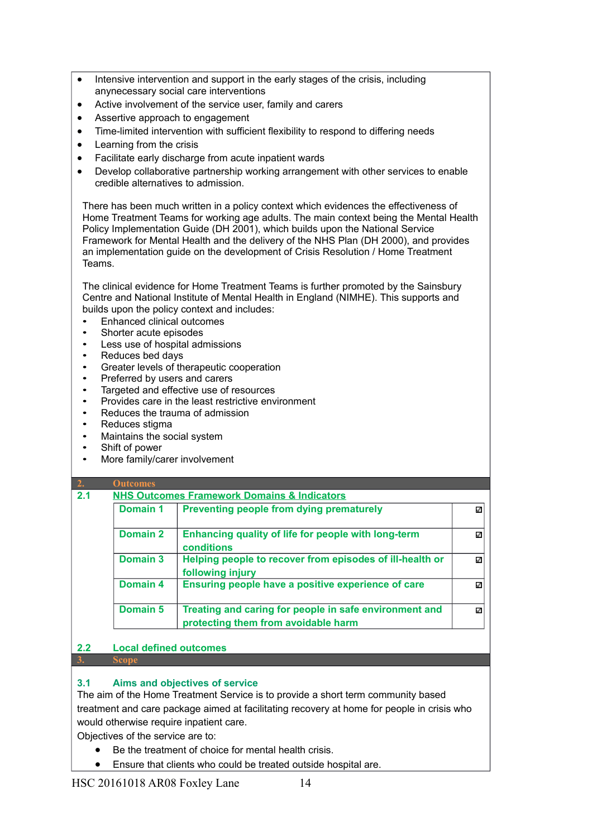- Intensive intervention and support in the early stages of the crisis, including anynecessary social care interventions
- Active involvement of the service user, family and carers
- Assertive approach to engagement
- Time-limited intervention with sufficient flexibility to respond to differing needs
- Learning from the crisis
- Facilitate early discharge from acute inpatient wards
- Develop collaborative partnership working arrangement with other services to enable credible alternatives to admission.

There has been much written in a policy context which evidences the effectiveness of Home Treatment Teams for working age adults. The main context being the Mental Health Policy Implementation Guide (DH 2001), which builds upon the National Service Framework for Mental Health and the delivery of the NHS Plan (DH 2000), and provides an implementation guide on the development of Crisis Resolution / Home Treatment Teams.

The clinical evidence for Home Treatment Teams is further promoted by the Sainsbury Centre and National Institute of Mental Health in England (NIMHE). This supports and builds upon the policy context and includes:

- Enhanced clinical outcomes
- Shorter acute episodes
- Less use of hospital admissions
- Reduces bed days
- Greater levels of therapeutic cooperation
- Preferred by users and carers
- Targeted and effective use of resources
- Provides care in the least restrictive environment
- Reduces the trauma of admission
- Reduces stigma
- Maintains the social system
- Shift of power
- More family/carer involvement

#### **2. Outcomes**

### **2.1 NHS Outcomes Framework Domains & Indicators**

| Domain 1 | Preventing people from dying prematurely                                                      | v |
|----------|-----------------------------------------------------------------------------------------------|---|
| Domain 2 | Enhancing quality of life for people with long-term<br>conditions                             | v |
| Domain 3 | Helping people to recover from episodes of ill-health or<br>following injury                  | v |
| Domain 4 | Ensuring people have a positive experience of care                                            | v |
| Domain 5 | Treating and caring for people in safe environment and<br>protecting them from avoidable harm | v |

## **2.2 Local defined outcomes**

## **3.1 Aims and objectives of service**

The aim of the Home Treatment Service is to provide a short term community based treatment and care package aimed at facilitating recovery at home for people in crisis who would otherwise require inpatient care.

Objectives of the service are to:

- Be the treatment of choice for mental health crisis.
- Ensure that clients who could be treated outside hospital are.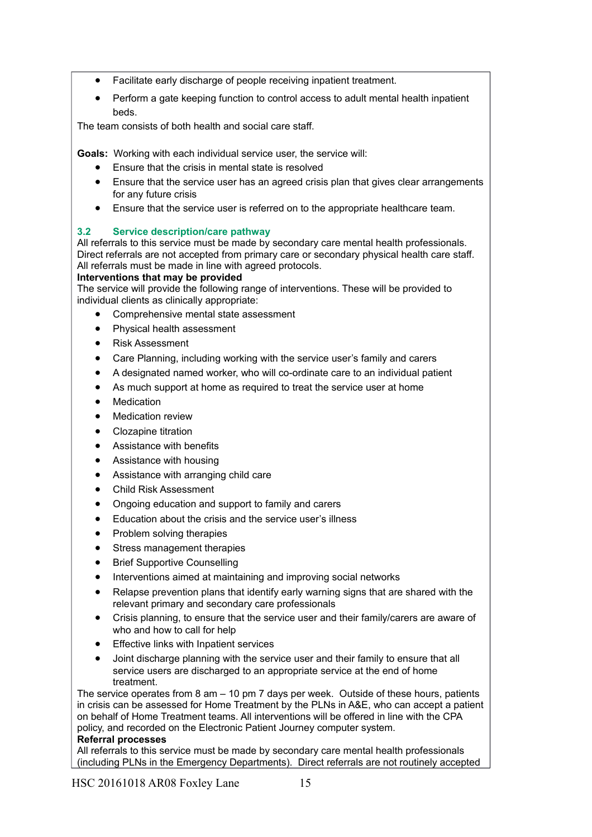- Facilitate early discharge of people receiving inpatient treatment.
- Perform a gate keeping function to control access to adult mental health inpatient beds.

The team consists of both health and social care staff.

**Goals:** Working with each individual service user, the service will:

- Ensure that the crisis in mental state is resolved
- Ensure that the service user has an agreed crisis plan that gives clear arrangements for any future crisis
- Ensure that the service user is referred on to the appropriate healthcare team.

## **3.2 Service description/care pathway**

All referrals to this service must be made by secondary care mental health professionals. Direct referrals are not accepted from primary care or secondary physical health care staff. All referrals must be made in line with agreed protocols.

### **Interventions that may be provided**

The service will provide the following range of interventions. These will be provided to individual clients as clinically appropriate:

- Comprehensive mental state assessment
- Physical health assessment
- Risk Assessment
- Care Planning, including working with the service user's family and carers
- A designated named worker, who will co-ordinate care to an individual patient
- As much support at home as required to treat the service user at home
- Medication
- Medication review
- Clozapine titration
- Assistance with benefits
- Assistance with housing
- Assistance with arranging child care
- Child Risk Assessment
- Ongoing education and support to family and carers
- Education about the crisis and the service user's illness
- Problem solving therapies
- Stress management therapies
- Brief Supportive Counselling
- Interventions aimed at maintaining and improving social networks
- Relapse prevention plans that identify early warning signs that are shared with the relevant primary and secondary care professionals
- Crisis planning, to ensure that the service user and their family/carers are aware of who and how to call for help
- Effective links with Inpatient services
- Joint discharge planning with the service user and their family to ensure that all service users are discharged to an appropriate service at the end of home treatment.

The service operates from 8 am – 10 pm 7 days per week. Outside of these hours, patients in crisis can be assessed for Home Treatment by the PLNs in A&E, who can accept a patient on behalf of Home Treatment teams. All interventions will be offered in line with the CPA policy, and recorded on the Electronic Patient Journey computer system.

#### **Referral processes**

All referrals to this service must be made by secondary care mental health professionals (including PLNs in the Emergency Departments). Direct referrals are not routinely accepted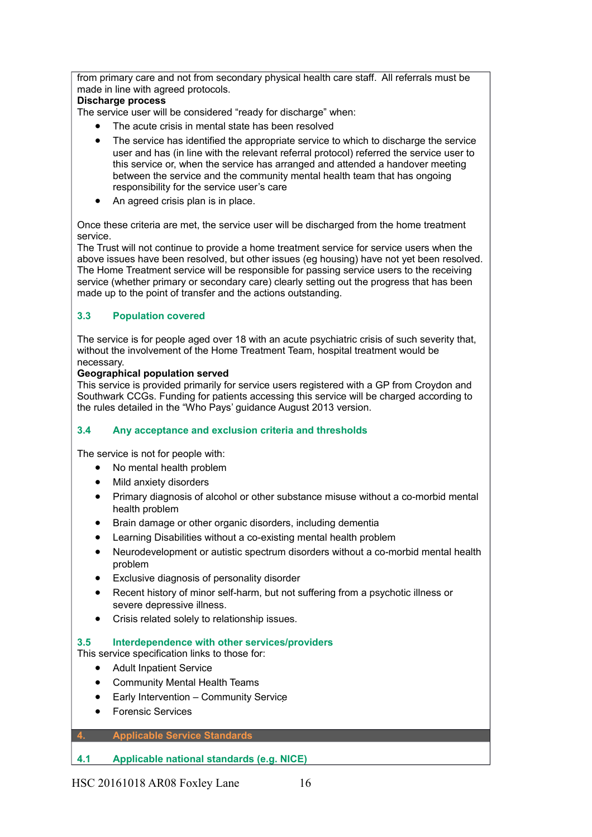from primary care and not from secondary physical health care staff. All referrals must be made in line with agreed protocols.

## **Discharge process**

The service user will be considered "ready for discharge" when:

- The acute crisis in mental state has been resolved
- The service has identified the appropriate service to which to discharge the service user and has (in line with the relevant referral protocol) referred the service user to this service or, when the service has arranged and attended a handover meeting between the service and the community mental health team that has ongoing responsibility for the service user's care
- An agreed crisis plan is in place.

Once these criteria are met, the service user will be discharged from the home treatment service.

The Trust will not continue to provide a home treatment service for service users when the above issues have been resolved, but other issues (eg housing) have not yet been resolved. The Home Treatment service will be responsible for passing service users to the receiving service (whether primary or secondary care) clearly setting out the progress that has been made up to the point of transfer and the actions outstanding.

## **3.3 Population covered**

The service is for people aged over 18 with an acute psychiatric crisis of such severity that, without the involvement of the Home Treatment Team, hospital treatment would be necessary.

## **Geographical population served**

This service is provided primarily for service users registered with a GP from Croydon and Southwark CCGs. Funding for patients accessing this service will be charged according to the rules detailed in the "Who Pays' guidance August 2013 version.

## **3.4 Any acceptance and exclusion criteria and thresholds**

The service is not for people with:

- No mental health problem
- Mild anxiety disorders
- Primary diagnosis of alcohol or other substance misuse without a co-morbid mental health problem
- Brain damage or other organic disorders, including dementia
- Learning Disabilities without a co-existing mental health problem
- Neurodevelopment or autistic spectrum disorders without a co-morbid mental health problem
- Exclusive diagnosis of personality disorder
- Recent history of minor self-harm, but not suffering from a psychotic illness or severe depressive illness.
- Crisis related solely to relationship issues.

### **3.5 Interdependence with other services/providers**

This service specification links to those for:

- Adult Inpatient Service
- Community Mental Health Teams
- Early Intervention Community Service
- **•** Forensic Services

### **4. Applicable Service Standards**

## **4.1 Applicable national standards (e.g. NICE)**

## HSC 20161018 AR08 Foxley Lane 16